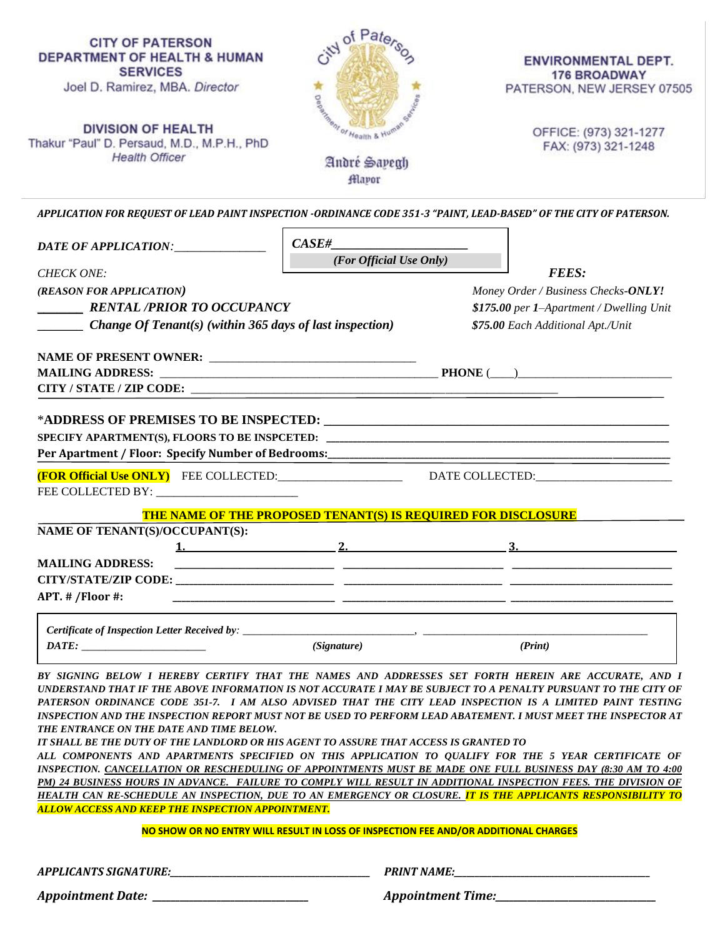| <b>CITY OF PATERSON</b><br><b>DEPARTMENT OF HEALTH &amp; HUMAN</b><br><b>SERVICES</b><br>Joel D. Ramirez, MBA. Director<br><b>DIVISION OF HEALTH</b><br>Thakur "Paul" D. Persaud, M.D., M.P.H., PhD<br><b>Health Officer</b> | of Paters<br><b>Constitution of Health &amp; Humi-</b><br>André Sayegh<br><b>Hlapor</b> | <b>ENVIRONMENTAL DEPT.</b><br><b>176 BROADWAY</b><br>PATERSON, NEW JERSEY 07505<br>OFFICE: (973) 321-1277<br>FAX: (973) 321-1248 |
|------------------------------------------------------------------------------------------------------------------------------------------------------------------------------------------------------------------------------|-----------------------------------------------------------------------------------------|----------------------------------------------------------------------------------------------------------------------------------|
| APPLICATION FOR REQUEST OF LEAD PAINT INSPECTION -ORDINANCE CODE 351-3 "PAINT, LEAD-BASED" OF THE CITY OF PATERSON.                                                                                                          |                                                                                         |                                                                                                                                  |
| DATE OF APPLICATION: _______________                                                                                                                                                                                         | CASE#                                                                                   |                                                                                                                                  |
| <b>CHECK ONE:</b>                                                                                                                                                                                                            | (For Official Use Only)                                                                 | <b>FEES:</b>                                                                                                                     |
| (REASON FOR APPLICATION)                                                                                                                                                                                                     |                                                                                         | Money Order / Business Checks-ONLY!                                                                                              |
| <b>RENTAL /PRIOR TO OCCUPANCY</b>                                                                                                                                                                                            |                                                                                         | \$175.00 per 1-Apartment / Dwelling Unit                                                                                         |
| <b>Change Of Tenant(s)</b> (within 365 days of last inspection)                                                                                                                                                              |                                                                                         | \$75.00 Each Additional Apt./Unit                                                                                                |
|                                                                                                                                                                                                                              |                                                                                         |                                                                                                                                  |
|                                                                                                                                                                                                                              |                                                                                         |                                                                                                                                  |
|                                                                                                                                                                                                                              |                                                                                         |                                                                                                                                  |
|                                                                                                                                                                                                                              |                                                                                         |                                                                                                                                  |
| Per Apartment / Floor: Specify Number of Bedrooms:<br><b>(FOR Official Use ONLY)</b> FEE COLLECTED: DATE COLLECTED:                                                                                                          |                                                                                         |                                                                                                                                  |
|                                                                                                                                                                                                                              |                                                                                         |                                                                                                                                  |
|                                                                                                                                                                                                                              | <b>THE NAME OF THE PROPOSED TENANT(S) IS REQUIRED FOR DISCLOSURE</b>                    |                                                                                                                                  |
| NAME OF TENANT(S)/OCCUPANT(S):                                                                                                                                                                                               |                                                                                         |                                                                                                                                  |
| <u>1.</u>                                                                                                                                                                                                                    | <u>2.</u>                                                                               | <u>3.</u>                                                                                                                        |
| <b>MAILING ADDRESS:</b>                                                                                                                                                                                                      |                                                                                         |                                                                                                                                  |
| <b>CITY/STATE/ZIP CODE:</b>                                                                                                                                                                                                  |                                                                                         |                                                                                                                                  |
| APT. # /Floor #:                                                                                                                                                                                                             |                                                                                         |                                                                                                                                  |
| Certificate of Inspection Letter Received by: _______________                                                                                                                                                                |                                                                                         |                                                                                                                                  |
| $\overline{DATE}$ :                                                                                                                                                                                                          | (Signature)                                                                             | (Print)                                                                                                                          |
|                                                                                                                                                                                                                              |                                                                                         |                                                                                                                                  |
| BY SIGNING BELOW I HEREBY CERTIFY THAT THE NAMES AND ADDRESSES SET FORTH HEREIN ARE ACCURATE, AND I                                                                                                                          |                                                                                         |                                                                                                                                  |

*UNDERSTAND THAT IF THE ABOVE INFORMATION IS NOT ACCURATE I MAY BE SUBJECT TO A PENALTY PURSUANT TO THE CITY OF PATERSON ORDINANCE CODE 351-7. I AM ALSO ADVISED THAT THE CITY LEAD INSPECTION IS A LIMITED PAINT TESTING INSPECTION AND THE INSPECTION REPORT MUST NOT BE USED TO PERFORM LEAD ABATEMENT. I MUST MEET THE INSPECTOR AT THE ENTRANCE ON THE DATE AND TIME BELOW.* 

*IT SHALL BE THE DUTY OF THE LANDLORD OR HIS AGENT TO ASSURE THAT ACCESS IS GRANTED TO ALL COMPONENTS AND APARTMENTS SPECIFIED ON THIS APPLICATION TO QUALIFY FOR THE 5 YEAR CERTIFICATE OF INSPECTION. CANCELLATION OR RESCHEDULING OF APPOINTMENTS MUST BE MADE ONE FULL BUSINESS DAY (8:30 AM TO 4:00 PM) 24 BUSINESS HOURS IN ADVANCE. FAILURE TO COMPLY WILL RESULT IN ADDITIONAL INSPECTION FEES. THE DIVISION OF HEALTH CAN RE-SCHEDULE AN INSPECTION, DUE TO AN EMERGENCY OR CLOSURE. IT IS THE APPLICANTS RESPONSIBILITY TO ALLOW ACCESS AND KEEP THE INSPECTION APPOINTMENT.*

**NO SHOW OR NO ENTRY WILL RESULT IN LOSS OF INSPECTION FEE AND/OR ADDITIONAL CHARGES**

| <b>APPLICANTS SIGNATURE:</b> | <b>PRINT NAME:</b>       |
|------------------------------|--------------------------|
| Appointment Date:            | <b>Appointment Time:</b> |